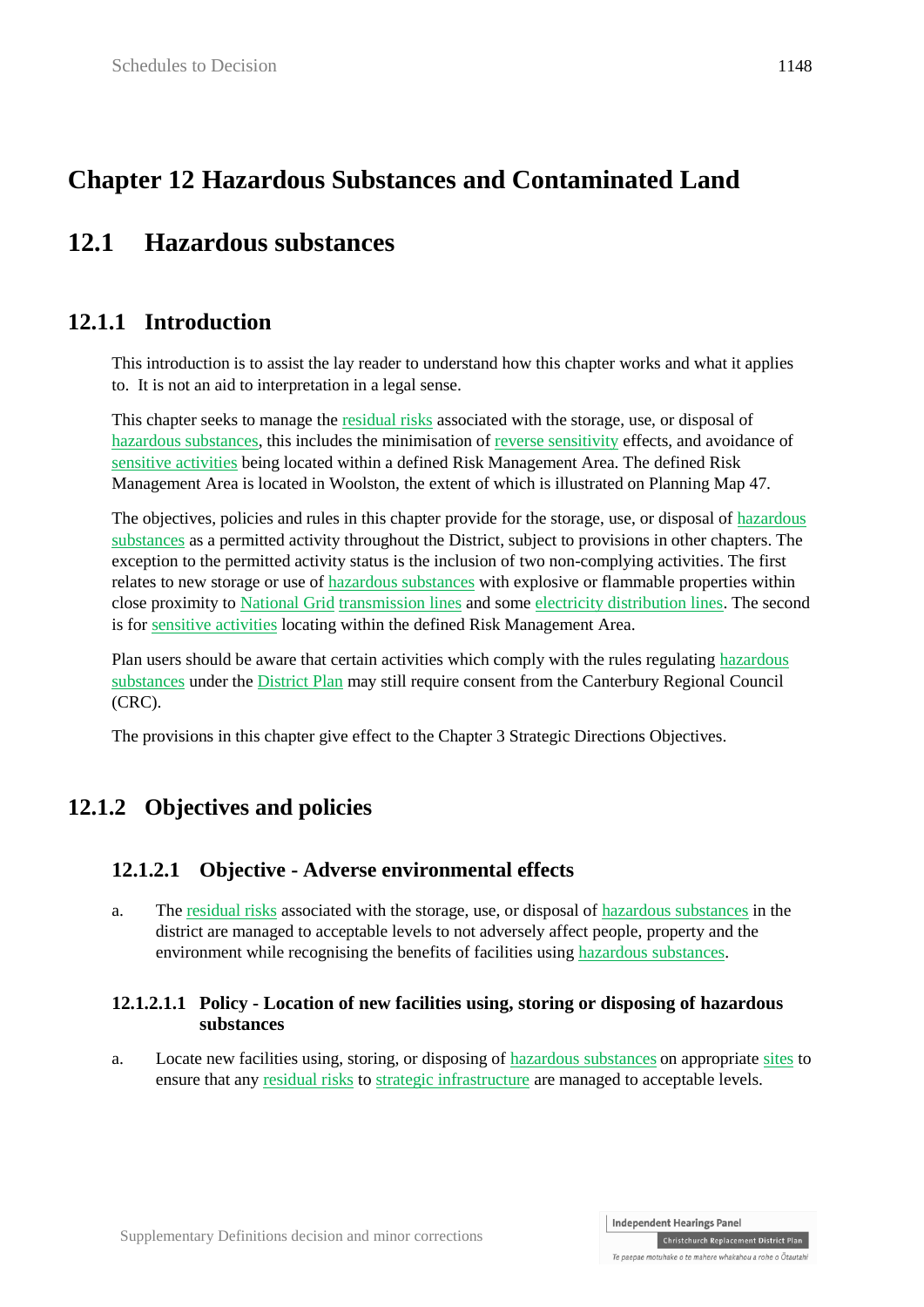# **Chapter 12 Hazardous Substances and Contaminated Land**

# **12.1 Hazardous substances**

# **12.1.1 Introduction**

This introduction is to assist the lay reader to understand how this chapter works and what it applies to. It is not an aid to interpretation in a legal sense.

This chapter seeks to manage the residual risks associated with the storage, use, or disposal of hazardous substances, this includes the minimisation of reverse sensitivity effects, and avoidance of sensitive activities being located within a defined Risk Management Area. The defined Risk Management Area is located in Woolston, the extent of which is illustrated on Planning Map 47.

The objectives, policies and rules in this chapter provide for the storage, use, or disposal of hazardous substances as a permitted activity throughout the District, subject to provisions in other chapters. The exception to the permitted activity status is the inclusion of two non-complying activities. The first relates to new storage or use of hazardous substances with explosive or flammable properties within close proximity to National Grid transmission lines and some electricity distribution lines. The second is for sensitive activities locating within the defined Risk Management Area.

Plan users should be aware that certain activities which comply with the rules regulating hazardous substances under the District Plan may still require consent from the Canterbury Regional Council (CRC).

The provisions in this chapter give effect to the Chapter 3 Strategic Directions Objectives.

# **12.1.2 Objectives and policies**

### **12.1.2.1 Objective - Adverse environmental effects**

a. The residual risks associated with the storage, use, or disposal of hazardous substances in the district are managed to acceptable levels to not adversely affect people, property and the environment while recognising the benefits of facilities using hazardous substances.

#### **12.1.2.1.1 Policy - Location of new facilities using, storing or disposing of hazardous substances**

a. Locate new facilities using, storing, or disposing of hazardous substances on appropriate sites to ensure that any residual risks to strategic infrastructure are managed to acceptable levels.

**Independent Hearings Panel**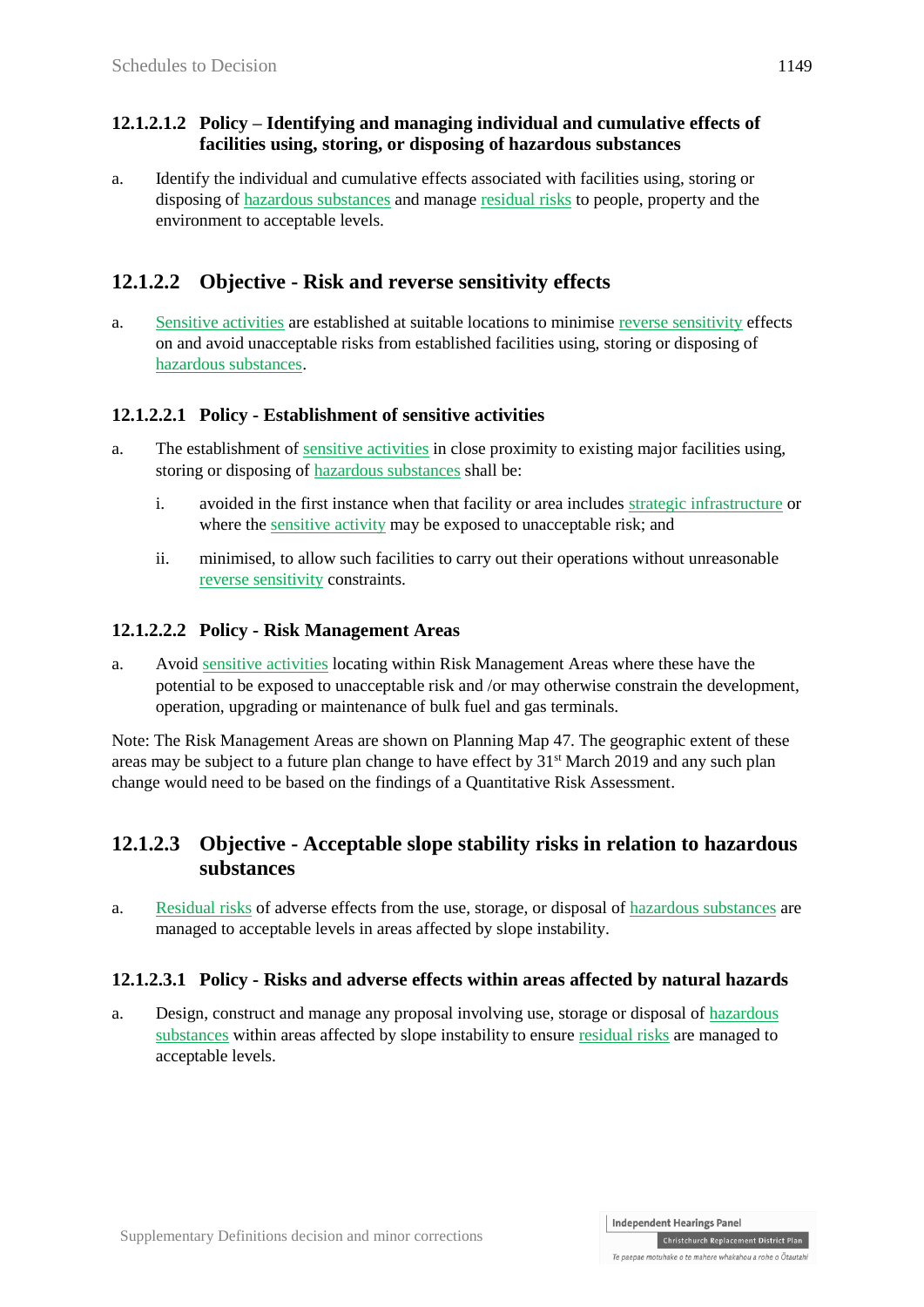#### **12.1.2.1.2 Policy – Identifying and managing individual and cumulative effects of facilities using, storing, or disposing of hazardous substances**

a. Identify the individual and cumulative effects associated with facilities using, storing or disposing of hazardous substances and manage residual risks to people, property and the environment to acceptable levels.

### **12.1.2.2 Objective - Risk and reverse sensitivity effects**

a. Sensitive activities are established at suitable locations to minimise reverse sensitivity effects on and avoid unacceptable risks from established facilities using, storing or disposing of hazardous substances.

### **12.1.2.2.1 Policy - Establishment of sensitive activities**

- a. The establishment of sensitive activities in close proximity to existing major facilities using, storing or disposing of hazardous substances shall be:
	- i. avoided in the first instance when that facility or area includes strategic infrastructure or where the sensitive activity may be exposed to unacceptable risk; and
	- ii. minimised, to allow such facilities to carry out their operations without unreasonable reverse sensitivity constraints.

#### **12.1.2.2.2 Policy - Risk Management Areas**

a. Avoid sensitive activities locating within Risk Management Areas where these have the potential to be exposed to unacceptable risk and /or may otherwise constrain the development, operation, upgrading or maintenance of bulk fuel and gas terminals.

Note: The Risk Management Areas are shown on Planning Map 47. The geographic extent of these areas may be subject to a future plan change to have effect by  $31<sup>st</sup>$  March 2019 and any such plan change would need to be based on the findings of a Quantitative Risk Assessment.

### **12.1.2.3 Objective - Acceptable slope stability risks in relation to hazardous substances**

a. Residual risks of adverse effects from the use, storage, or disposal of hazardous substances are managed to acceptable levels in areas affected by slope instability.

#### **12.1.2.3.1 Policy - Risks and adverse effects within areas affected by natural hazards**

a. Design, construct and manage any proposal involving use, storage or disposal of hazardous substances within areas affected by slope instability to ensure residual risks are managed to acceptable levels.

Te paenae motubake o te mahere whakahou a robe o Ōtautabi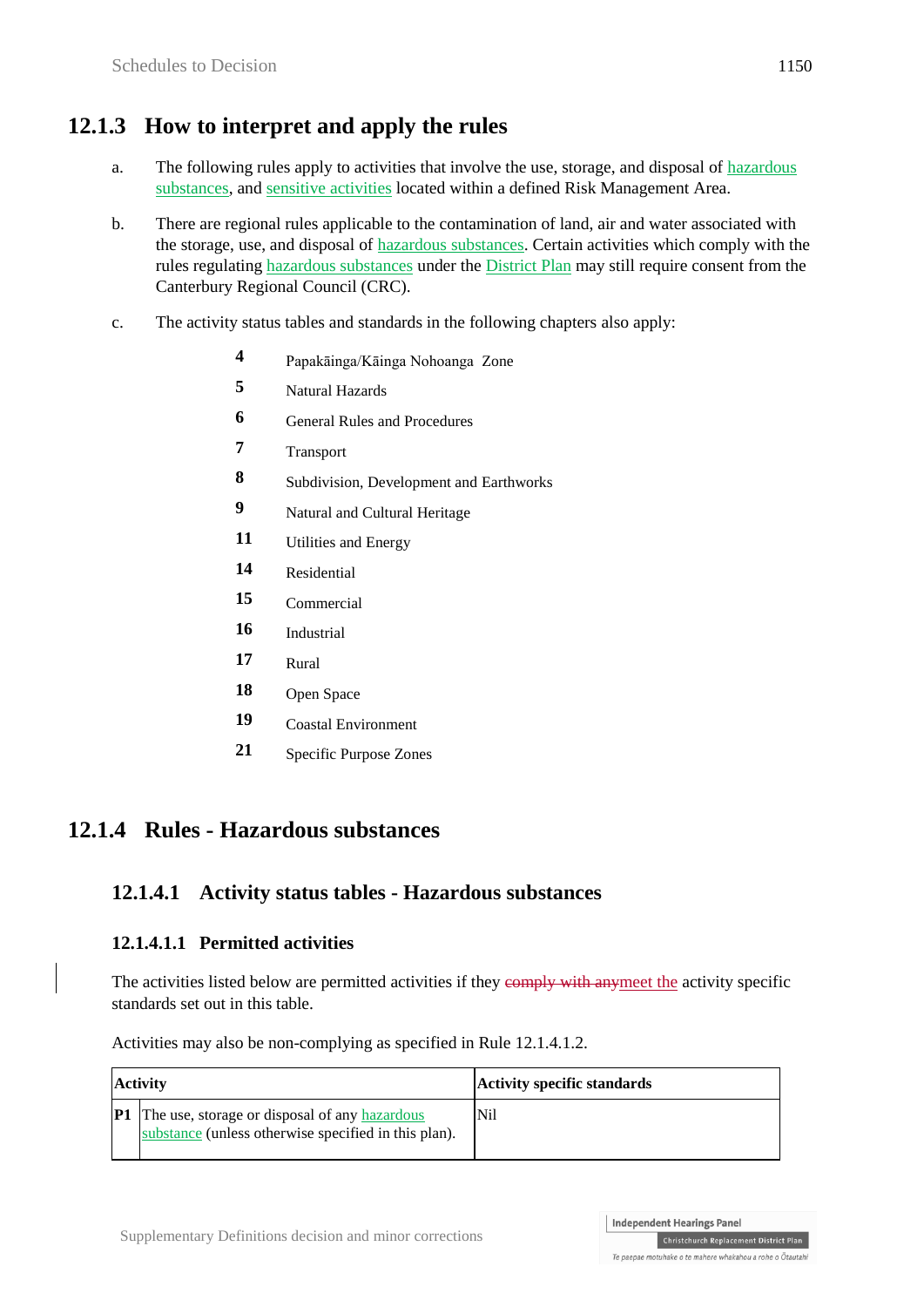# **12.1.3 How to interpret and apply the rules**

- a. The following rules apply to activities that involve the use, storage, and disposal of hazardous substances, and sensitive activities located within a defined Risk Management Area.
- b. There are regional rules applicable to the contamination of land, air and water associated with the storage, use, and disposal of hazardous substances. Certain activities which comply with the rules regulating hazardous substances under the District Plan may still require consent from the Canterbury Regional Council (CRC).
- c. The activity status tables and standards in the following chapters also apply:
	- **4** Papakāinga/Kāinga Nohoanga Zone
	- **5** Natural Hazards
	- **6** General Rules and Procedures
	- **7** Transport
	- **8** Subdivision, Development and Earthworks
	- **9** Natural and Cultural Heritage
	- 11 Utilities and Energy
	- **14** Residential
	- **15** Commercial
	- **16** Industrial
	- **17** Rural
	- **18** Open Space
	- **19** Coastal Environment
	- **21** Specific Purpose Zones

## **12.1.4 Rules - Hazardous substances**

### **12.1.4.1 Activity status tables - Hazardous substances**

#### **12.1.4.1.1 Permitted activities**

The activities listed below are permitted activities if they comply with anymeet the activity specific standards set out in this table.

Activities may also be non-complying as specified in Rule 12.1.4.1.2.

| <b>Activity</b> |                                                                                                                 | <b>Activity specific standards</b> |
|-----------------|-----------------------------------------------------------------------------------------------------------------|------------------------------------|
|                 | <b>P1</b> The use, storage or disposal of any hazardous<br>substance (unless otherwise specified in this plan). | Nil                                |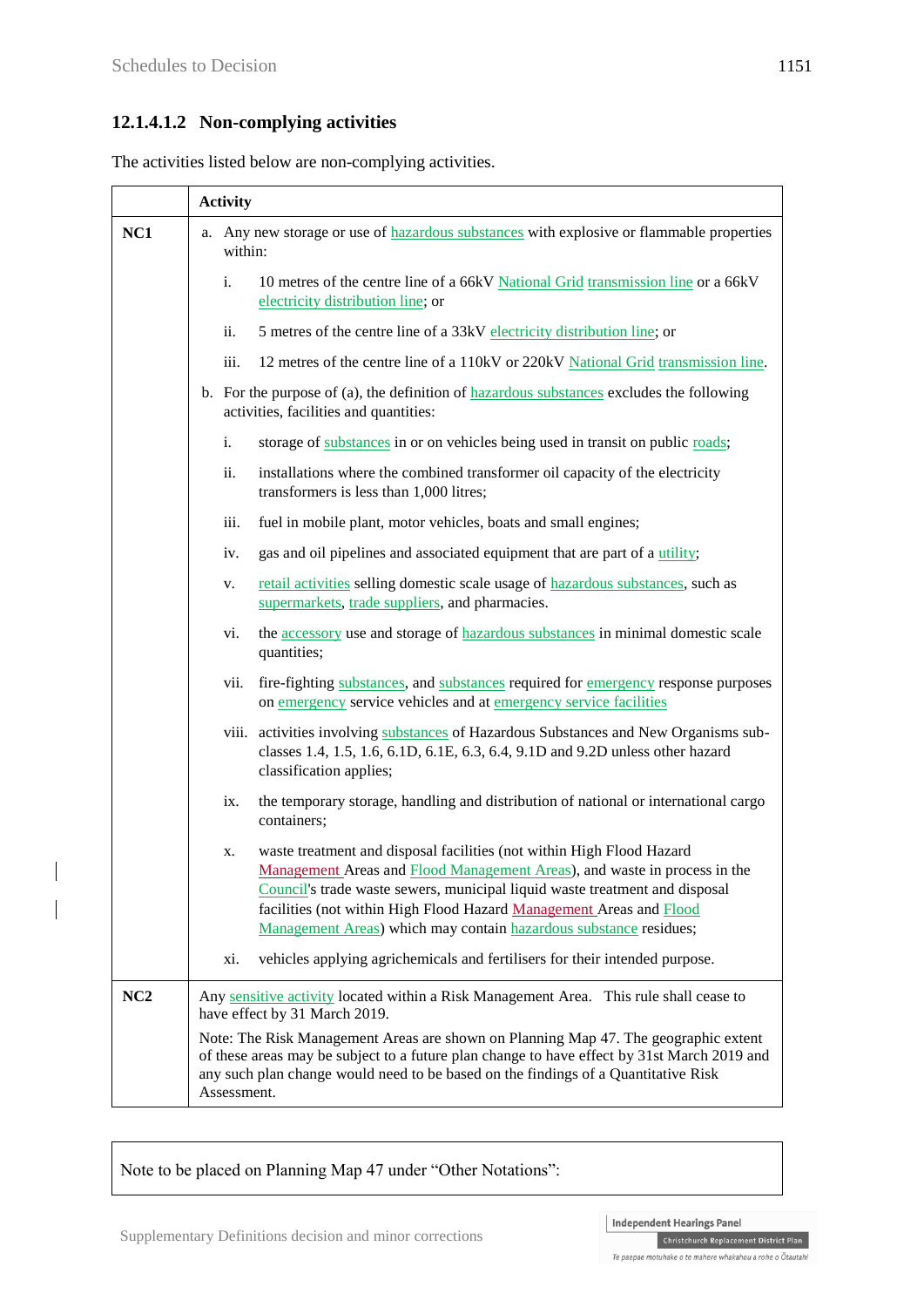### **12.1.4.1.2 Non-complying activities**

The activities listed below are non-complying activities.

|     | <b>Activity</b>                                                                                                                                                                                                                                                                                                                                                                     |  |
|-----|-------------------------------------------------------------------------------------------------------------------------------------------------------------------------------------------------------------------------------------------------------------------------------------------------------------------------------------------------------------------------------------|--|
| NC1 | a. Any new storage or use of hazardous substances with explosive or flammable properties<br>within:                                                                                                                                                                                                                                                                                 |  |
|     | $\mathbf{i}$ .<br>10 metres of the centre line of a 66kV National Grid transmission line or a 66kV<br>electricity distribution line; or                                                                                                                                                                                                                                             |  |
|     | ii.<br>5 metres of the centre line of a 33kV electricity distribution line; or                                                                                                                                                                                                                                                                                                      |  |
|     | 12 metres of the centre line of a 110kV or 220kV National Grid transmission line.<br>iii.                                                                                                                                                                                                                                                                                           |  |
|     | b. For the purpose of (a), the definition of $\frac{hazardu}{2}$ substances excludes the following<br>activities, facilities and quantities:                                                                                                                                                                                                                                        |  |
|     | storage of substances in or on vehicles being used in transit on public roads;<br>i.                                                                                                                                                                                                                                                                                                |  |
|     | ii.<br>installations where the combined transformer oil capacity of the electricity<br>transformers is less than 1,000 litres;                                                                                                                                                                                                                                                      |  |
|     | iii.<br>fuel in mobile plant, motor vehicles, boats and small engines;                                                                                                                                                                                                                                                                                                              |  |
|     | gas and oil pipelines and associated equipment that are part of a utility;<br>iv.                                                                                                                                                                                                                                                                                                   |  |
|     | retail activities selling domestic scale usage of hazardous substances, such as<br>V.<br>supermarkets, trade suppliers, and pharmacies.                                                                                                                                                                                                                                             |  |
|     | the accessory use and storage of hazardous substances in minimal domestic scale<br>vi.<br>quantities;                                                                                                                                                                                                                                                                               |  |
|     | fire-fighting substances, and substances required for emergency response purposes<br>vii.<br>on emergency service vehicles and at emergency service facilities                                                                                                                                                                                                                      |  |
|     | viii. activities involving substances of Hazardous Substances and New Organisms sub-<br>classes 1.4, 1.5, 1.6, 6.1D, 6.1E, 6.3, 6.4, 9.1D and 9.2D unless other hazard<br>classification applies;                                                                                                                                                                                   |  |
|     | the temporary storage, handling and distribution of national or international cargo<br>ix.<br>containers;                                                                                                                                                                                                                                                                           |  |
|     | waste treatment and disposal facilities (not within High Flood Hazard<br>х.<br>Management Areas and Flood Management Areas), and waste in process in the<br>Council's trade waste sewers, municipal liquid waste treatment and disposal<br>facilities (not within High Flood Hazard Management Areas and Flood<br>Management Areas) which may contain hazardous substance residues; |  |
|     | vehicles applying agrichemicals and fertilisers for their intended purpose.<br>xi.                                                                                                                                                                                                                                                                                                  |  |
| NC2 | Any sensitive activity located within a Risk Management Area. This rule shall cease to<br>have effect by 31 March 2019.                                                                                                                                                                                                                                                             |  |
|     | Note: The Risk Management Areas are shown on Planning Map 47. The geographic extent<br>of these areas may be subject to a future plan change to have effect by 31st March 2019 and<br>any such plan change would need to be based on the findings of a Quantitative Risk<br>Assessment.                                                                                             |  |

Note to be placed on Planning Map 47 under "Other Notations":

Te paepae motuhake o te mahere whakahou a rohe o Ōtautahi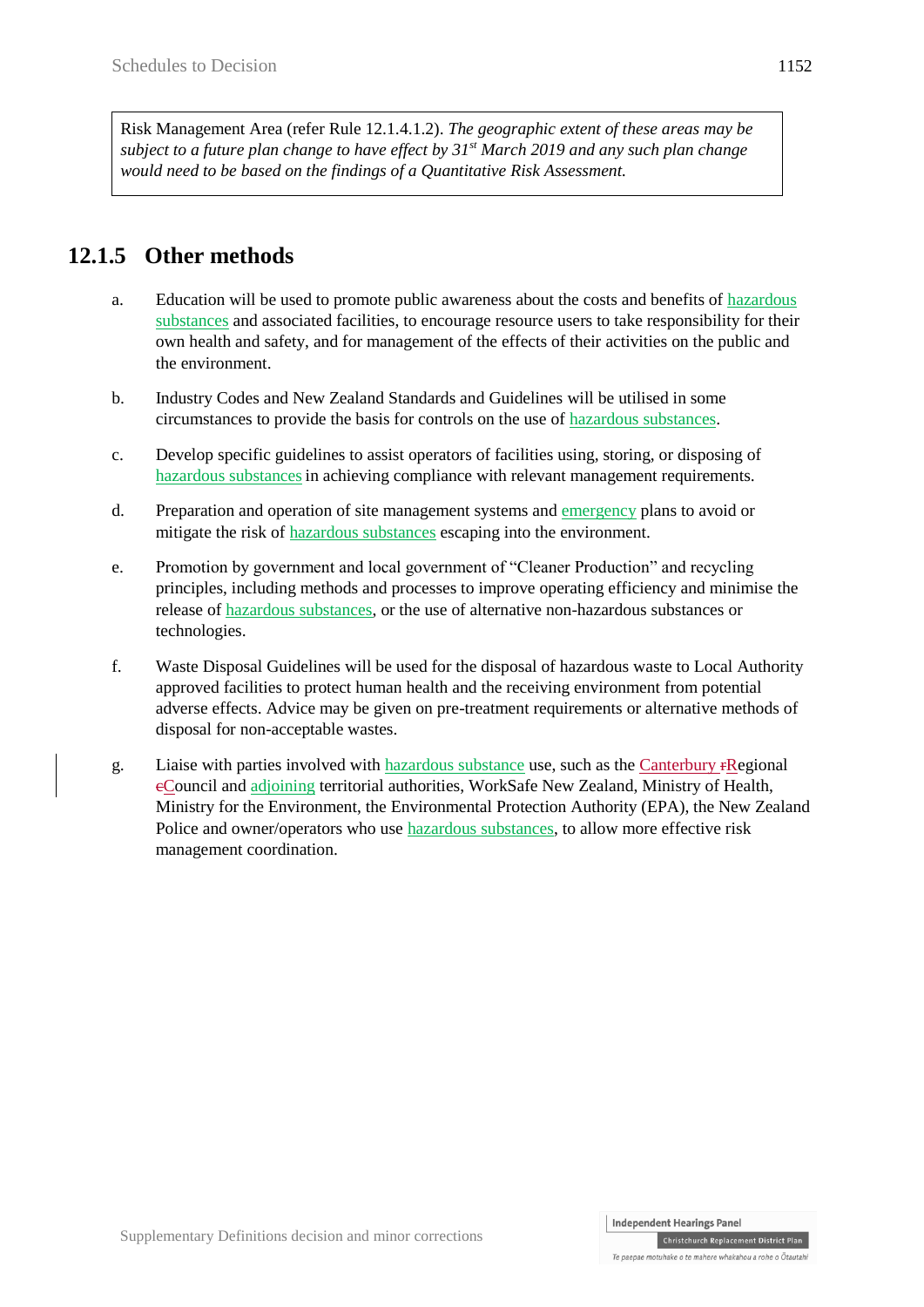Risk Management Area (refer Rule 12.1.4.1.2). *The geographic extent of these areas may be subject to a future plan change to have effect by 31st March 2019 and any such plan change would need to be based on the findings of a Quantitative Risk Assessment.*

# **12.1.5 Other methods**

- a. Education will be used to promote public awareness about the costs and benefits of hazardous substances and associated facilities, to encourage resource users to take responsibility for their own health and safety, and for management of the effects of their activities on the public and the environment.
- b. Industry Codes and New Zealand Standards and Guidelines will be utilised in some circumstances to provide the basis for controls on the use of hazardous substances.
- c. Develop specific guidelines to assist operators of facilities using, storing, or disposing of hazardous substancesin achieving compliance with relevant management requirements.
- d. Preparation and operation of site management systems and emergency plans to avoid or mitigate the risk of hazardous substances escaping into the environment.
- e. Promotion by government and local government of "Cleaner Production" and recycling principles, including methods and processes to improve operating efficiency and minimise the release of hazardous substances, or the use of alternative non-hazardous substances or technologies.
- f. Waste Disposal Guidelines will be used for the disposal of hazardous waste to Local Authority approved facilities to protect human health and the receiving environment from potential adverse effects. Advice may be given on pre-treatment requirements or alternative methods of disposal for non-acceptable wastes.
- g. Liaise with parties involved with hazardous substance use, such as the Canterbury rRegional cCouncil and adjoining territorial authorities, WorkSafe New Zealand, Ministry of Health, Ministry for the Environment, the Environmental Protection Authority (EPA), the New Zealand Police and owner/operators who use hazardous substances, to allow more effective risk management coordination.

Christchurch Replacement District Plan

Te paenae motubake o te mahere whakahou a robe o Ōtautabi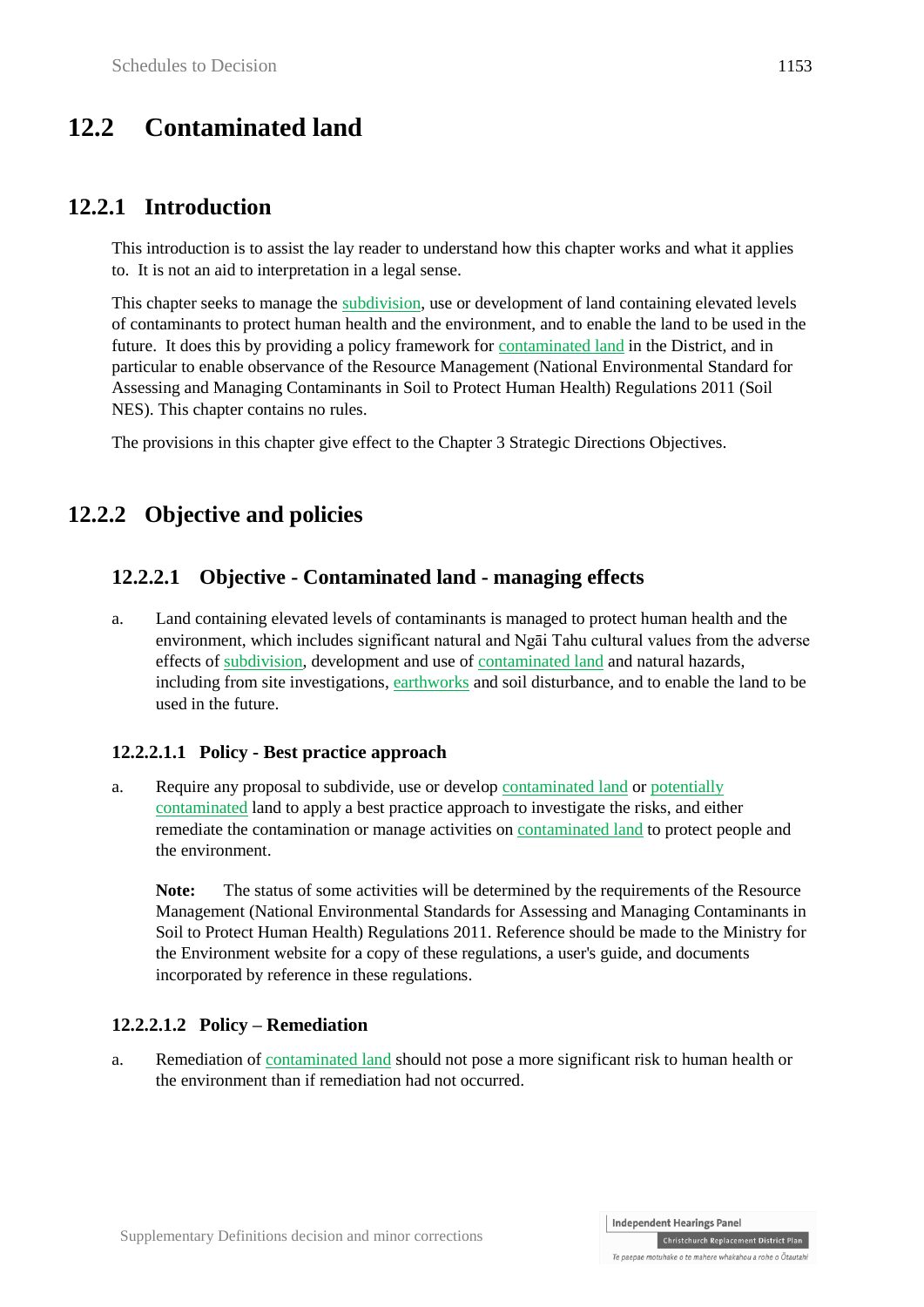# **12.2 Contaminated land**

### **12.2.1 Introduction**

This introduction is to assist the lay reader to understand how this chapter works and what it applies to. It is not an aid to interpretation in a legal sense.

This chapter seeks to manage the subdivision, use or development of land containing elevated levels of contaminants to protect human health and the environment, and to enable the land to be used in the future. It does this by providing a policy framework for contaminated land in the District, and in particular to enable observance of the Resource Management (National Environmental Standard for Assessing and Managing Contaminants in Soil to Protect Human Health) Regulations 2011 (Soil NES). This chapter contains no rules.

The provisions in this chapter give effect to the Chapter 3 Strategic Directions Objectives.

## **12.2.2 Objective and policies**

### **12.2.2.1 Objective - Contaminated land - managing effects**

a. Land containing elevated levels of contaminants is managed to protect human health and the environment, which includes significant natural and Ngāi Tahu cultural values from the adverse effects of subdivision, development and use of contaminated land and natural hazards, including from site investigations, earthworks and soil disturbance, and to enable the land to be used in the future.

#### **12.2.2.1.1 Policy - Best practice approach**

a. Require any proposal to subdivide, use or develop contaminated land or potentially contaminated land to apply a best practice approach to investigate the risks, and either remediate the contamination or manage activities on contaminated land to protect people and the environment.

Note: The status of some activities will be determined by the requirements of the Resource Management (National Environmental Standards for Assessing and Managing Contaminants in Soil to Protect Human Health) Regulations 2011. Reference should be made to the Ministry for the Environment website for a copy of these regulations, a user's guide, and documents incorporated by reference in these regulations.

#### **12.2.2.1.2 Policy – Remediation**

a. Remediation of contaminated land should not pose a more significant risk to human health or the environment than if remediation had not occurred.